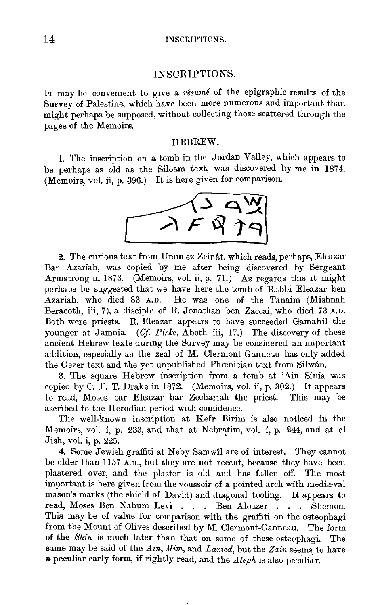# INS CB IPTIONS.

IT may be convenient to give a *resume* of the epigraphic results of the Survey of Palestine, which have been more numerous and important than might perhaps be supposed, without collecting those scattered through the pages of the Memoirs.

### HEBREW.

1. The inscription on a tomb in the Jordan Valley, which appears to be perhaps as old as the Siloam text, was discovered by me in 1874. (Memoirs, vol. ii, p. 396.) It is here given for comparison.



2. The curious text from Umm ez Zeinât, which reads, perhaps, Eleazar Bar Azariah, was copied by me after being discovered by Sergeant Armstrong in 1873. (Memoirs, vol. ii, p. 71.) As regards this it might perhaps be suggested that we have here the tomb of Rabbi Eleazar ben Azariah, who died 83 A.D. He was one of the Tanaim (Mishnah Beracoth, iii, 7), a disciple of R. Jonathan ben Zaccai, who died 73 A.D. Both were priests. R. Eleazar appears to have succeeded Gamahil the younger at Jamnia. *(Of Pirke,* Aboth iii, 17.) The discovery of these ancient Hebrew texts during the Survey may be considered an important addition, especially as the zeal of M. Clermont-Ganneau has only added the Gezer text and the yet unpublished Phœnician text from Silwân.

3. The square Hebrew inscription from a tomb at 'Ain Sinia was copied by C. F. T. Drake in 1872. (Memoirs, vol. ii, p. 302.) It appears to read, Moses bar Eleazar bar Zechariah the priest. This may be ascribed to the Herodian period with confidence.

The well-known inscription at Kefr Birim is also noticed in the Memoirs, vol. i, p. 233, and that at Nebratim, vol. i, p. 244, and at el Jish, vol. i, p. 225. '

4. Some Jewish graffiti at Neby Samwil are of interest. They cannot be older than 1157 A.D., but they are not recent, because they have been plastered over, and the plaster is old and has fallen off. The most important is here given from the voussoir of a pointed arch with mediaval mason's marks (the shield of David) and diagonal tooling. It appears to read, Moses Ben Nahum Levi . . . Ben Aloazer . . . Shemon. This may be of value for comparison with the graffiti on the osteophagi from the Mount of Olives described by M. Clermont-Ganneau. The form of the *Shin* is much later than that on some of these osteophagi. The same may be said of the *Ain, Mim, and Lamed, but the Zain seems to have* a peculiar early form, if rightly read, and the *Aleph* is also peculiar.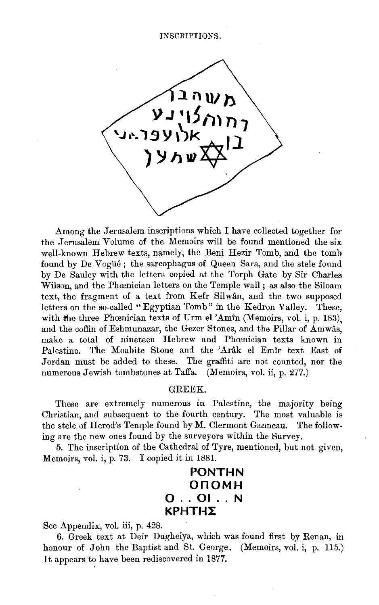#### INSCRIPTIONS.



Among the Jerusalem inscriptions which I have collected together for the Jerusalem Volume of the Memoirs will be found mentioned the six well-known Hebrew texts, namely, the Beni Hezir Tomb, and the tomb found by De Vogüé; the sarcophagus of Queen Sara, and the stele found by De Saulcy with the letters copied at the Torph Gate by Sir Charles Wilson, and the Phœnician letters on the Temple wall ; as also the Siloam text, the fragment of a text from Kefr Silwân, and the two supposed letters on the so-called " Egyptian Tomb" in the Kedron Valley. These, with the three Phoenician texts of Urm el 'Amin (Memoirs, vol. i, p. 183), and the coffin of Eshmunazar, the Gezer Stones, and the Pillar of Amwas, make a total of nineteen Hebrew and Phœnician texts known in Palestine. The Moabite Stone and the 'Arâk el Emîr text East of Jordan must be added to these. The graffiti are not counted, nor the numerous Jewish tombstones at Taffa. (Memoirs, vol. ii, p.  $277$ .)

### GREEK.

These are extremely numerous in Palestine, the majority being Christian, and subsequent to the fourth century. The most valuable is the stele of Herod's Temple found by M. Clermont-Ganneau. The following are the new ones found by the surveyors within the Survey.

5. The inscription of the Cathedral of Tyre, mentioned, but not given, Memoirs, vol. i, p. 73. I copied it in 1881.

# **PONTHN OnOMH 0 .. 01 .. N ΚΡΗΤΗΣ**

See Appendix, vol. iii, p. 428.

6. Greek text at Deir Dugheiya, which was found first by Renan, in honour of John the Baptist and St. George. (Memoirs, vol. i, p. 115.) It appears to have been rediscovered in 1877.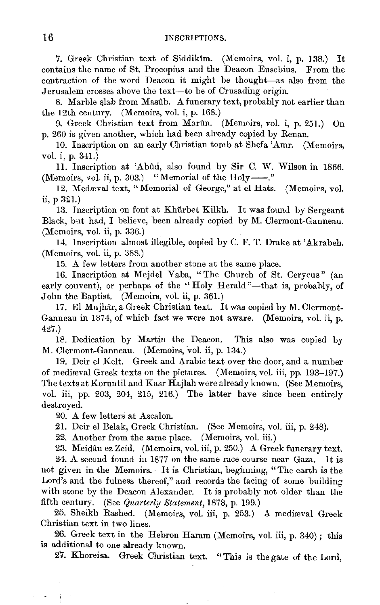7. Greek Christian text of Siddikim. (Memoirs, vol. i, p. 138.) It contains the name of St. Procopius and the Deacon Eusebius. From the contraction of the word Deacon it might be thought-as also from the Jerusalem crosses above the text-to be of Crusading origin.

8. Marble slab from Masûb. A funerary text, probably not earlier than the 12th century. (Memoirs, vol. i, p. 168.)

9. Greek Christian text from Marûn. (Memoirs, vol. i, p. 251.) On p. 260 is given another, which had been already copied by Renan.

10. Inscription on an early Christian tomb at Shefa 'Amr. (Memoirs, vol. i, p. 341.)

11. Inscription at 'Ablld, also found by Sir C. W. Wilson in 1866. (Memoirs, vol. ii, p. 303.) "Memorial of the Holy-"."

12. Medæval text, "Memorial of George," at el Hats. (Memoirs, vol. ii, p  $321.$ )

13. Inscription on font at Khurbet Kilkh. It was found by Sergeant Black, but had, I believe, been already copied by M. Clermont-Ganneau.  $(Memoirs, vol. ii, p. 336.)$ 

14. Inscription almost illegible, copied by C. F. T. Drake at 'Akrabeh.  $(Memoirs, vol. ii, p. 388.)$ 

15. A few letters from another stone at the same place.

16. Inscription at Mejdel Yaba, "The Church of St. Cerycus" (an early convent), or perhaps of the "Holy Herald"—that is, probably, of John the Baptist. (Memoirs, vol. ii, p. 361.)

17. El Mujhâr, a Greek Christian text. It was copied by M. Clermont-Ganneau in 1874, of which fact we were not aware. (Memoirs, vol. ii, p. 427.)

18. Dedication by Martin the Deacon. This also was copied by M. Clermont-Ganneau. (Memoirs, vol. ii, p. 134.)

19. Deir el Kelt. Greek and Arabic text over the door, and a number of mediaval Greek texts on the pictures. (Memoirs, vol. iii, pp. 193-197.) The texts at Koruntil and Kasr Hajlah were already known. (See Memoirs, vol. iii, pp. 203, 204, 215, 216.) The latter have since been entirely destroyed.

20. A few letters at Ascalon.

21. Deir el Belak, Greek Christian. (See Memoirs, vol. iii, p. 248).

22. Another from the same place. (Memoirs, vol. iii.)

23. Meidan ez Zeid. (Memoirs, vol. iii, p. 250.) A Greek funerary text.

24. A second found in 1877 on the same race course near Gaza. It is not given in the Memoirs. · It is Christian, beginning, "The earth is the Lord's and the fulness thereof," and records the facing of some building with stone by the Deacon Alexander. It is probably not older than the fifth century. (See *Quarterly Statement,* 1878, p. 199.)

25. Sheikh Rashed. (Memoirs, vol. iii, p. 253.) A medireval Greek Christian text in two lines.

26. Greek text in the Hebron Haram (Memoirs, vol. iii, p. 340); this is additional to one already known.

27. Khoreisa. Greek Christian text. "This is the gate of the Lord,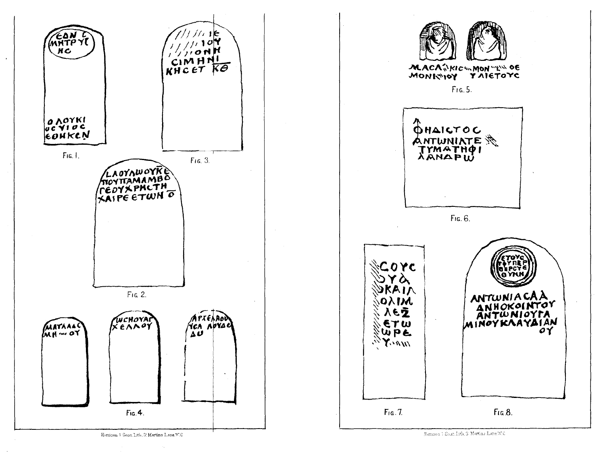

Harrison & Sone, Lith, S! Martins Lane, W.C.

Harnson 1 Soue, Lith, S. Martins Lane, W.C.